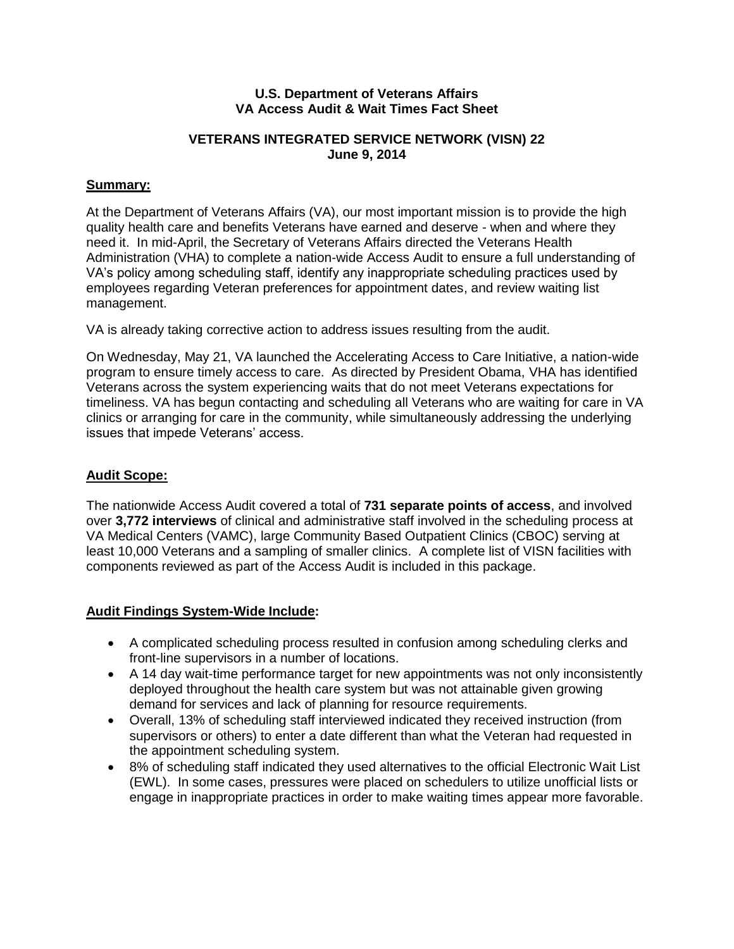#### **U.S. Department of Veterans Affairs VA Access Audit & Wait Times Fact Sheet**

# **VETERANS INTEGRATED SERVICE NETWORK (VISN) 22 June 9, 2014**

# **Summary:**

At the Department of Veterans Affairs (VA), our most important mission is to provide the high quality health care and benefits Veterans have earned and deserve - when and where they need it. In mid-April, the Secretary of Veterans Affairs directed the Veterans Health Administration (VHA) to complete a nation-wide Access Audit to ensure a full understanding of VA's policy among scheduling staff, identify any inappropriate scheduling practices used by employees regarding Veteran preferences for appointment dates, and review waiting list management.

VA is already taking corrective action to address issues resulting from the audit.

On Wednesday, May 21, VA launched the Accelerating Access to Care Initiative, a nation-wide program to ensure timely access to care. As directed by President Obama, VHA has identified Veterans across the system experiencing waits that do not meet Veterans expectations for timeliness. VA has begun contacting and scheduling all Veterans who are waiting for care in VA clinics or arranging for care in the community, while simultaneously addressing the underlying issues that impede Veterans' access.

### **Audit Scope:**

The nationwide Access Audit covered a total of **731 separate points of access**, and involved over **3,772 interviews** of clinical and administrative staff involved in the scheduling process at VA Medical Centers (VAMC), large Community Based Outpatient Clinics (CBOC) serving at least 10,000 Veterans and a sampling of smaller clinics. A complete list of VISN facilities with components reviewed as part of the Access Audit is included in this package.

# **Audit Findings System-Wide Include:**

- A complicated scheduling process resulted in confusion among scheduling clerks and front-line supervisors in a number of locations.
- A 14 day wait-time performance target for new appointments was not only inconsistently deployed throughout the health care system but was not attainable given growing demand for services and lack of planning for resource requirements.
- Overall, 13% of scheduling staff interviewed indicated they received instruction (from supervisors or others) to enter a date different than what the Veteran had requested in the appointment scheduling system.
- 8% of scheduling staff indicated they used alternatives to the official Electronic Wait List (EWL). In some cases, pressures were placed on schedulers to utilize unofficial lists or engage in inappropriate practices in order to make waiting times appear more favorable.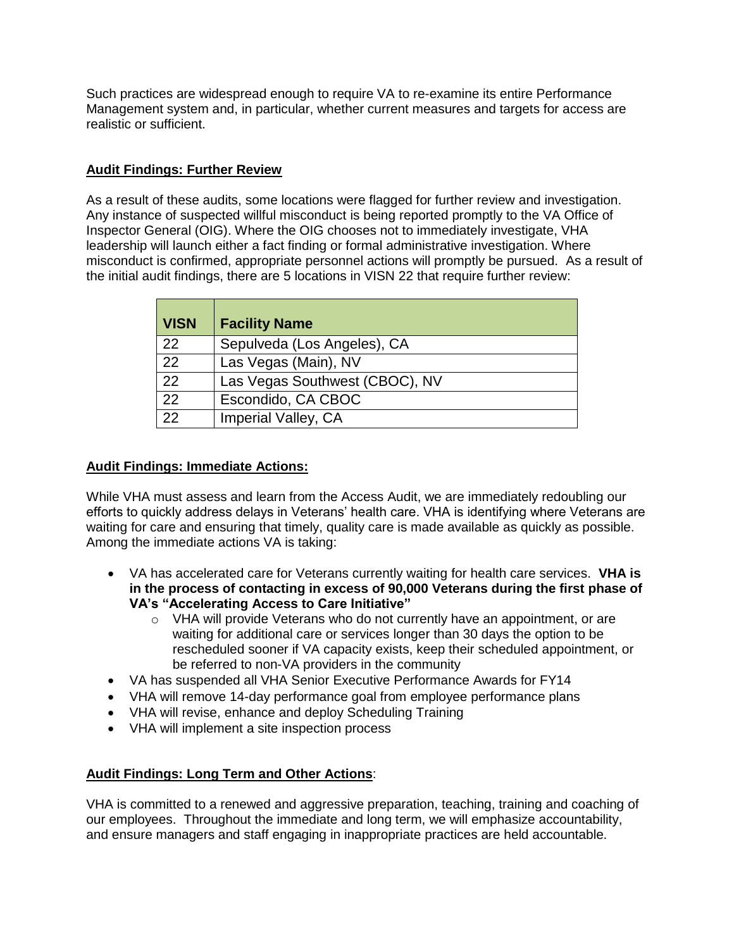Such practices are widespread enough to require VA to re-examine its entire Performance Management system and, in particular, whether current measures and targets for access are realistic or sufficient.

# **Audit Findings: Further Review**

As a result of these audits, some locations were flagged for further review and investigation. Any instance of suspected willful misconduct is being reported promptly to the VA Office of Inspector General (OIG). Where the OIG chooses not to immediately investigate, VHA leadership will launch either a fact finding or formal administrative investigation. Where misconduct is confirmed, appropriate personnel actions will promptly be pursued. As a result of the initial audit findings, there are 5 locations in VISN 22 that require further review:

| <b>VISN</b> | <b>Facility Name</b>           |
|-------------|--------------------------------|
| 22          | Sepulveda (Los Angeles), CA    |
| 22          | Las Vegas (Main), NV           |
| 22          | Las Vegas Southwest (CBOC), NV |
| 22          | Escondido, CA CBOC             |
| 22          | Imperial Valley, CA            |

#### **Audit Findings: Immediate Actions:**

While VHA must assess and learn from the Access Audit, we are immediately redoubling our efforts to quickly address delays in Veterans' health care. VHA is identifying where Veterans are waiting for care and ensuring that timely, quality care is made available as quickly as possible. Among the immediate actions VA is taking:

- VA has accelerated care for Veterans currently waiting for health care services. **VHA is in the process of contacting in excess of 90,000 Veterans during the first phase of VA's "Accelerating Access to Care Initiative"**
	- $\circ$  VHA will provide Veterans who do not currently have an appointment, or are waiting for additional care or services longer than 30 days the option to be rescheduled sooner if VA capacity exists, keep their scheduled appointment, or be referred to non-VA providers in the community
- VA has suspended all VHA Senior Executive Performance Awards for FY14
- VHA will remove 14-day performance goal from employee performance plans
- VHA will revise, enhance and deploy Scheduling Training
- VHA will implement a site inspection process

# **Audit Findings: Long Term and Other Actions**:

VHA is committed to a renewed and aggressive preparation, teaching, training and coaching of our employees. Throughout the immediate and long term, we will emphasize accountability, and ensure managers and staff engaging in inappropriate practices are held accountable.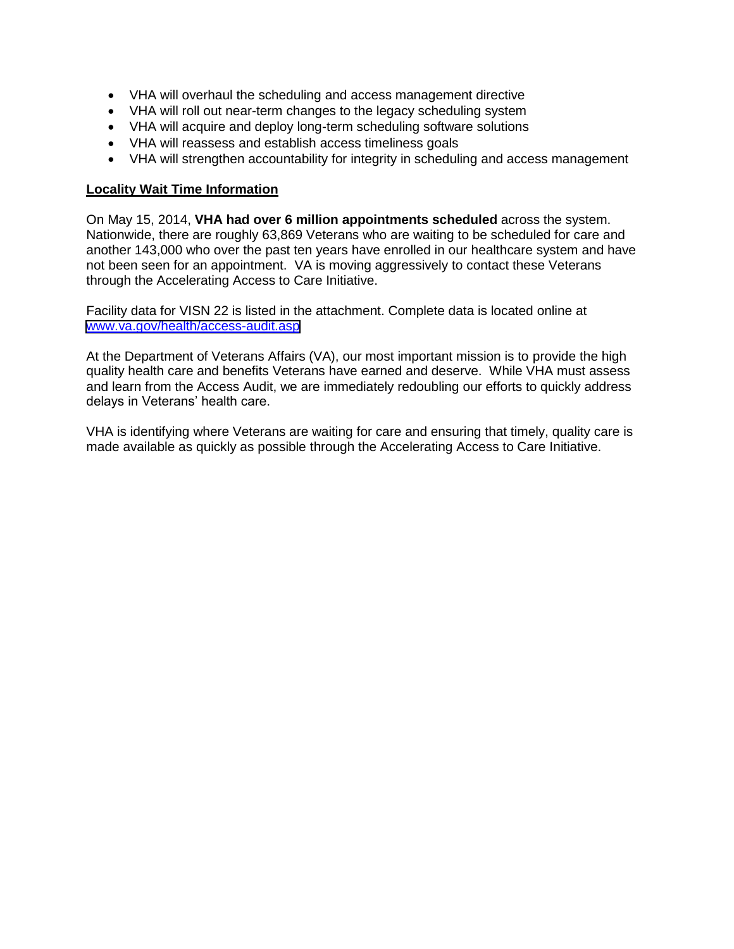- VHA will overhaul the scheduling and access management directive
- VHA will roll out near-term changes to the legacy scheduling system
- VHA will acquire and deploy long-term scheduling software solutions
- VHA will reassess and establish access timeliness goals
- VHA will strengthen accountability for integrity in scheduling and access management

#### **Locality Wait Time Information**

On May 15, 2014, **VHA had over 6 million appointments scheduled** across the system. Nationwide, there are roughly 63,869 Veterans who are waiting to be scheduled for care and another 143,000 who over the past ten years have enrolled in our healthcare system and have not been seen for an appointment. VA is moving aggressively to contact these Veterans through the Accelerating Access to Care Initiative.

Facility data for VISN 22 is listed in the attachment. Complete data is located online at [www.va.gov/health/access-audit.asp](https://www.va.gov/health/access-audit.asp)

At the Department of Veterans Affairs (VA), our most important mission is to provide the high quality health care and benefits Veterans have earned and deserve. While VHA must assess and learn from the Access Audit, we are immediately redoubling our efforts to quickly address delays in Veterans' health care.

VHA is identifying where Veterans are waiting for care and ensuring that timely, quality care is made available as quickly as possible through the Accelerating Access to Care Initiative.